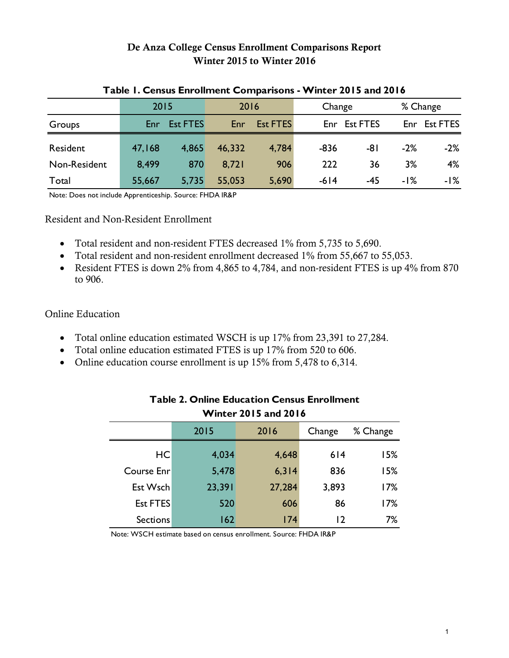# **De Anza College Census Enrollment Comparisons Report Winter 2015 to Winter 2016**

|                                                          | 2015   |                 | 2016   |                 | Change |              | % Change |              |
|----------------------------------------------------------|--------|-----------------|--------|-----------------|--------|--------------|----------|--------------|
| Groups                                                   | Enr.   | <b>Est FTES</b> | Enr    | <b>Est FTES</b> |        | Enr Est FTES |          | Enr Est FTES |
| Resident                                                 | 47,168 | 4,865           | 46,332 | 4,784           | $-836$ | -81          | $-2%$    | $-2%$        |
| Non-Resident                                             | 8,499  | 870             | 8,721  | 906             | 222    | 36           | 3%       | 4%           |
| Total                                                    | 55,667 | 5,735           | 55,053 | 5,690           | $-614$ | $-45$        | -1%      | -1%          |
| Note: Does not include Apprenticeship. Source: FHDA IR&P |        |                 |        |                 |        |              |          |              |

#### **Table 1. Census Enrollment Comparisons - Winter 2015 and 2016**

Note: Does not include Apprenticeship. Source: FHDA IR&P

Resident and Non-Resident Enrollment

- Total resident and non-resident FTES decreased 1% from 5,735 to 5,690.
- Total resident and non-resident enrollment decreased 1% from 55,667 to 55,053.
- Resident FTES is down 2% from 4,865 to 4,784, and non-resident FTES is up 4% from 870 to 906.

## Online Education

- Total online education estimated WSCH is up 17% from 23,391 to 27,284.
- Total online education estimated FTES is up 17% from 520 to 606.
- Online education course enrollment is up 15% from 5,478 to 6,314.

| Winter 2015 and 2016 |        |                |       |          |  |  |  |  |  |  |
|----------------------|--------|----------------|-------|----------|--|--|--|--|--|--|
|                      | 2015   | 2016<br>Change |       | % Change |  |  |  |  |  |  |
| HC                   | 4,034  | 4,648          | 614   | 15%      |  |  |  |  |  |  |
| Course Enr           | 5,478  | 6,314          | 836   | 15%      |  |  |  |  |  |  |
| Est Wsch             | 23,391 | 27,284         | 3,893 | 17%      |  |  |  |  |  |  |
| <b>Est FTES</b>      | 520    | 606            | 86    | 17%      |  |  |  |  |  |  |
| <b>Sections</b>      | 162    | 174            | 12    | 7%       |  |  |  |  |  |  |

# **Table 2. Online Education Census Enrollment Winter 2015 and 2016**

Note: WSCH estimate based on census enrollment. Source: FHDA IR&P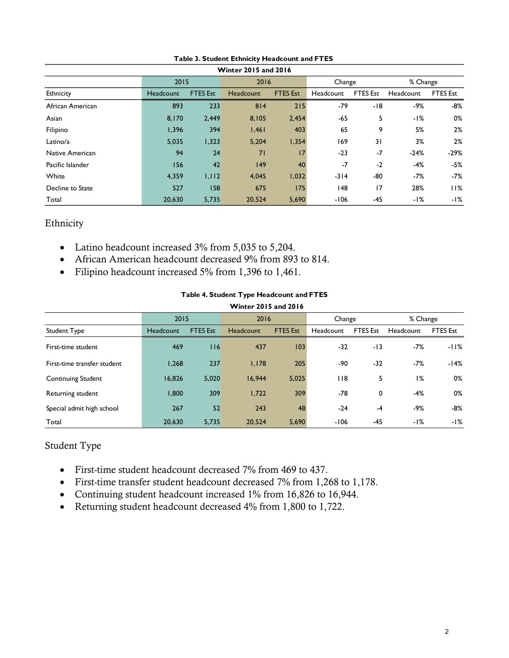|                  |           |                 | <b>Winter 2015 and 2016</b> |                 |           |                 |           |                 |
|------------------|-----------|-----------------|-----------------------------|-----------------|-----------|-----------------|-----------|-----------------|
|                  | 2015      |                 | 2016                        |                 | Change    |                 | % Change  |                 |
| Ethnicity        | Headcount | <b>FTES Est</b> | Headcount                   | <b>FTES Est</b> | Headcount | <b>FTES Est</b> | Headcount | <b>FTES Est</b> |
| African American | 893       | 233             | 814                         | 215             | -79       | $-18$           | $-9%$     | $-8%$           |
| Asian            | 8,170     | 2,449           | 8,105                       | 2,454           | -65       | 5               | $-1%$     | 0%              |
| Filipino         | 1,396     | 394             | 1,461                       | 403             | 65        | 9               | 5%        | 2%              |
| Latino/a         | 5,035     | 1,323           | 5,204                       | 1,354           | 169       | 31              | 3%        | 2%              |
| Native American  | 94        | 24              | 71                          | 17              | $-23$     | $-7$            | $-24%$    | $-29%$          |
| Pacific Islander | 156       | 42              | 149                         | 40              | $-7$      | $-2$            | $-4%$     | $-5%$           |
| White            | 4,359     | 1,112           | 4.045                       | 1,032           | $-314$    | -80             | $-7%$     | $-7%$           |
| Decline to State | 527       | 58              | 675                         | 175             | 148       | 17              | 28%       | 11%             |
| Total            | 20,630    | 5,735           | 20,524                      | 5,690           | -106      | -45             | -1%       | -1%             |

**Table 3. Student Ethnicity Headcount and FTES** 

## Ethnicity

- Latino headcount increased 3% from 5,035 to 5,204.
- African American headcount decreased 9% from 893 to 814.
- Filipino headcount increased 5% from 1,396 to 1,461.

#### **Table 4. Student Type Headcount and FTES**

|                             |           |                 | Winter 2015 and 2016 |                 |           |                 |           |                 |
|-----------------------------|-----------|-----------------|----------------------|-----------------|-----------|-----------------|-----------|-----------------|
|                             | 2015      |                 | 2016                 |                 | Change    |                 | % Change  |                 |
| <b>Student Type</b>         | Headcount | <b>FTES Est</b> | Headcount            | <b>FTES Est</b> | Headcount | <b>FTES Est</b> | Headcount | <b>FTES Est</b> |
| First-time student          | 469       | $ $ $ $ 6       | 437                  | 103             | $-32$     | $-13$           | $-7%$     | -11%            |
| First-time transfer student | 1,268     | 237             | 1,178                | 205             | -90       | $-32$           | $-7%$     | -14%            |
| <b>Continuing Student</b>   | 16,826    | 5,020           | 16,944               | 5,025           | 118       | 5               | 1%        | 0%              |
| Returning student           | 1,800     | 309             | 1,722                | 309             | -78       | 0               | $-4%$     | 0%              |
| Special admit high school   | 267       | 52              | 243                  | 48              | $-24$     | $-4$            | $-9%$     | -8%             |
| Total                       | 20,630    | 5,735           | 20,524               | 5,690           | $-106$    | -45             | -1%       | -1%             |

### Student Type

- First-time student headcount decreased 7% from 469 to 437.
- First-time transfer student headcount decreased 7% from 1,268 to 1,178.
- Continuing student headcount increased 1% from 16,826 to 16,944.
- Returning student headcount decreased 4% from 1,800 to 1,722.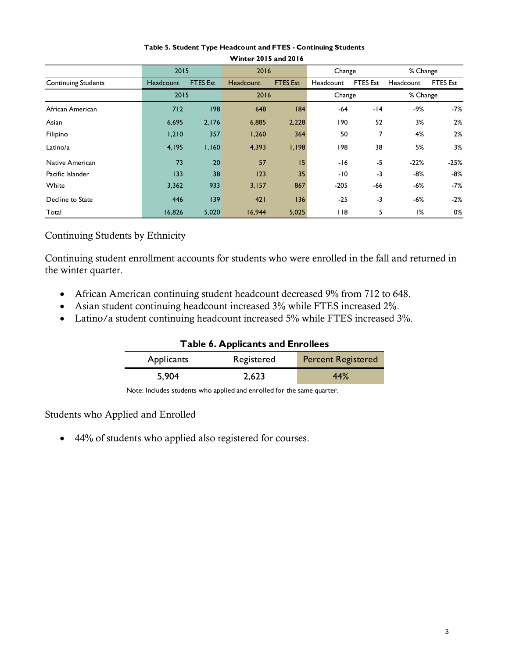|                            | 2015      |                 | 2016      |                 | Change    |                 | % Change  |                 |
|----------------------------|-----------|-----------------|-----------|-----------------|-----------|-----------------|-----------|-----------------|
| <b>Continuing Students</b> | Headcount | <b>FTES Est</b> | Headcount | <b>FTES Est</b> | Headcount | <b>FTES Est</b> | Headcount | <b>FTES Est</b> |
|                            | 2015      |                 | 2016      |                 | Change    |                 | % Change  |                 |
| African American           | 712       | 98              | 648       | 84              | -64       | $-14$           | $-9%$     | $-7%$           |
| Asian                      | 6,695     | 2,176           | 6,885     | 2,228           | 190       | 52              | 3%        | 2%              |
| Filipino                   | 1,210     | 357             | 1,260     | 364             | 50        | 7               | 4%        | 2%              |
| Latino/a                   | 4,195     | 1,160           | 4,393     | 1,198           | 198       | 38              | 5%        | 3%              |
| Native American            | 73        | 20              | 57        | 15              | -16       | $-5$            | $-22%$    | $-25%$          |
| Pacific Islander           | 133       | 38              | 123       | 35              | -10       | $-3$            | $-8%$     | $-8%$           |
| White                      | 3,362     | 933             | 3,157     | 867             | $-205$    | $-66$           | $-6%$     | $-7%$           |
| Decline to State           | 446       | 39              | 421       | 136             | $-25$     | $-3$            | $-6%$     | $-2%$           |
| Total                      | 16,826    | 5,020           | 16,944    | 5,025           | 118       | 5               | 1%        | 0%              |

#### **Table 5. Student Type Headcount and FTES - Continuing Students Winter 2015 and 2016**

# Continuing Students by Ethnicity

Continuing student enrollment accounts for students who were enrolled in the fall and returned in the winter quarter.

- African American continuing student headcount decreased 9% from 712 to 648.
- Asian student continuing headcount increased 3% while FTES increased 2%.
- Latino/a student continuing headcount increased 5% while FTES increased 3%.

|  |  | <b>Table 6. Applicants and Enrollees</b> |
|--|--|------------------------------------------|
|--|--|------------------------------------------|

| Applicants | Registered | <b>Percent Registered</b> |
|------------|------------|---------------------------|
| 5,904      | 2,623      | 44%                       |

Note: Includes students who applied and enrolled for the same quarter.

# Students who Applied and Enrolled

44% of students who applied also registered for courses.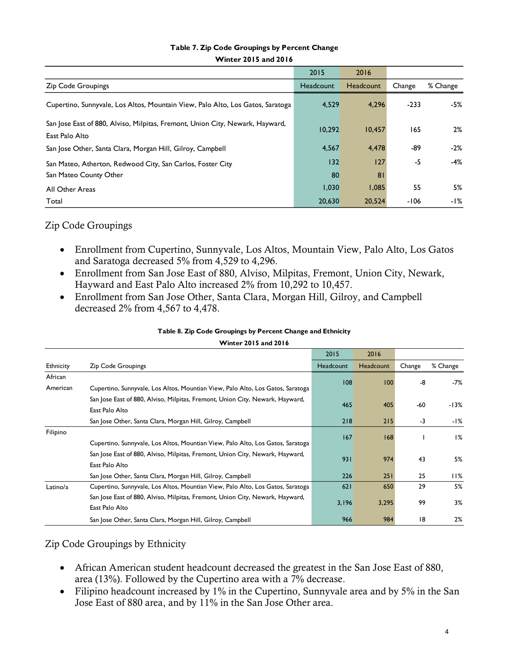| Table 7. Zip Code Groupings by Percent Change |  |
|-----------------------------------------------|--|
| <b>Winter 2015 and 2016</b>                   |  |

|                                                                                                 | 2015      | 2016      |        |          |
|-------------------------------------------------------------------------------------------------|-----------|-----------|--------|----------|
| <b>Zip Code Groupings</b>                                                                       | Headcount | Headcount | Change | % Change |
| Cupertino, Sunnyvale, Los Altos, Mountain View, Palo Alto, Los Gatos, Saratoga                  | 4,529     | 4,296     | $-233$ | -5%      |
| San Jose East of 880, Alviso, Milpitas, Fremont, Union City, Newark, Hayward,<br>East Palo Alto | 10.292    | 10.457    | 165    | 2%       |
| San Jose Other, Santa Clara, Morgan Hill, Gilroy, Campbell                                      | 4,567     | 4,478     | -89    | $-2\%$   |
| San Mateo, Atherton, Redwood City, San Carlos, Foster City                                      | 132       | 127       | -5     | -4%      |
| San Mateo County Other                                                                          | 80        | 81        |        |          |
| All Other Areas                                                                                 | 1,030     | 1,085     | 55     | 5%       |
| Total                                                                                           | 20,630    | 20,524    | $-106$ | -1%      |
|                                                                                                 |           |           |        |          |

### Zip Code Groupings

- Enrollment from Cupertino, Sunnyvale, Los Altos, Mountain View, Palo Alto, Los Gatos and Saratoga decreased 5% from 4,529 to 4,296.
- Enrollment from San Jose East of 880, Alviso, Milpitas, Fremont, Union City, Newark, Hayward and East Palo Alto increased 2% from 10,292 to 10,457.
- Enrollment from San Jose Other, Santa Clara, Morgan Hill, Gilroy, and Campbell decreased 2% from 4,567 to 4,478.

|  | Table 8. Zip Code Groupings by Percent Change and Ethnicity |
|--|-------------------------------------------------------------|
|  |                                                             |

|           |                                                                                | 2015      | 2016      |        |          |
|-----------|--------------------------------------------------------------------------------|-----------|-----------|--------|----------|
| Ethnicity | <b>Zip Code Groupings</b>                                                      | Headcount | Headcount | Change | % Change |
| African   |                                                                                | 08        | 100       | -8     | -7%      |
| American  | Cupertino, Sunnyvale, Los Altos, Mountian View, Palo Alto, Los Gatos, Saratoga |           |           |        |          |
|           | San Jose East of 880, Alviso, Milpitas, Fremont, Union City, Newark, Hayward,  |           |           | -60    |          |
|           | East Palo Alto                                                                 | 465       | 405       |        | $-13%$   |
|           | San Jose Other, Santa Clara, Morgan Hill, Gilroy, Campbell                     | 218       | 215       | -3     | -1%      |
| Filipino  |                                                                                | 167       | 168       |        | $1\%$    |
|           | Cupertino, Sunnyvale, Los Altos, Mountian View, Palo Alto, Los Gatos, Saratoga |           |           |        |          |
|           | San Jose East of 880, Alviso, Milpitas, Fremont, Union City, Newark, Hayward,  | 931       | 974       | 43     | 5%       |
|           | East Palo Alto                                                                 |           |           |        |          |
|           | San Jose Other, Santa Clara, Morgan Hill, Gilroy, Campbell                     | 226       | 251       | 25     | 11%      |
| Latino/a  | Cupertino, Sunnyvale, Los Altos, Mountian View, Palo Alto, Los Gatos, Saratoga | 621       | 650       | 29     | 5%       |
|           | San Jose East of 880, Alviso, Milpitas, Fremont, Union City, Newark, Hayward,  | 3,196     | 3,295     | 99     | 3%       |
|           | East Palo Alto                                                                 |           |           |        |          |
|           | San Jose Other, Santa Clara, Morgan Hill, Gilroy, Campbell                     | 966       | 984       | 18     | 2%       |

#### **Winter 2015 and 2016**

Zip Code Groupings by Ethnicity

- African American student headcount decreased the greatest in the San Jose East of 880, area (13%). Followed by the Cupertino area with a 7% decrease.
- Filipino headcount increased by 1% in the Cupertino, Sunnyvale area and by 5% in the San Jose East of 880 area, and by 11% in the San Jose Other area.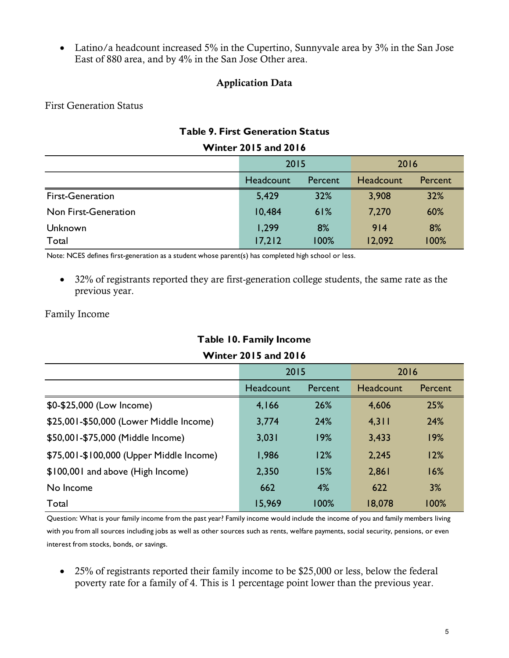• Latino/a headcount increased 5% in the Cupertino, Sunnyvale area by 3% in the San Jose East of 880 area, and by 4% in the San Jose Other area.

## **Application Data**

First Generation Status

## **Table 9. First Generation Status**

|                         | 2015             |         | 2016             |                |  |
|-------------------------|------------------|---------|------------------|----------------|--|
|                         | <b>Headcount</b> | Percent | <b>Headcount</b> | <b>Percent</b> |  |
| <b>First-Generation</b> | 5,429            | 32%     | 3,908            | 32%            |  |
| Non First-Generation    | 10,484           | 61%     | 7,270            | 60%            |  |
| Unknown                 | 1,299            | 8%      | 914              | 8%             |  |
| Total                   | 17,212           | 100%    | 12,092           | 100%           |  |

### **Winter 2015 and 2016**

Note: NCES defines first-generation as a student whose parent(s) has completed high school or less.

• 32% of registrants reported they are first-generation college students, the same rate as the previous year.

### Family Income

# **Table 10. Family Income**

# **Winter 2015 and 2016**

| <b>Table 10. Family Income</b>           |           |         |           |         |  |  |  |  |  |
|------------------------------------------|-----------|---------|-----------|---------|--|--|--|--|--|
| <b>Winter 2015 and 2016</b>              |           |         |           |         |  |  |  |  |  |
|                                          | 2015      |         | 2016      |         |  |  |  |  |  |
|                                          | Headcount | Percent | Headcount | Percent |  |  |  |  |  |
| \$0-\$25,000 (Low Income)                | 4,166     | 26%     | 4,606     | 25%     |  |  |  |  |  |
| \$25,001-\$50,000 (Lower Middle Income)  | 3,774     | 24%     | 4,311     | 24%     |  |  |  |  |  |
| \$50,001-\$75,000 (Middle Income)        | 3,031     | 19%     | 3,433     | 19%     |  |  |  |  |  |
| \$75,001-\$100,000 (Upper Middle Income) | 1,986     | 12%     | 2,245     | 12%     |  |  |  |  |  |
| \$100,001 and above (High Income)        | 2,350     | 15%     | 2,861     | 16%     |  |  |  |  |  |
| No Income                                | 662       | 4%      | 622       | 3%      |  |  |  |  |  |
| Total                                    | 15,969    | 100%    | 18,078    | 100%    |  |  |  |  |  |

Question: What is your family income from the past year? Family income would include the income of you and family members living with you from all sources including jobs as well as other sources such as rents, welfare payments, social security, pensions, or even interest from stocks, bonds, or savings.

• 25% of registrants reported their family income to be \$25,000 or less, below the federal poverty rate for a family of 4. This is 1 percentage point lower than the previous year.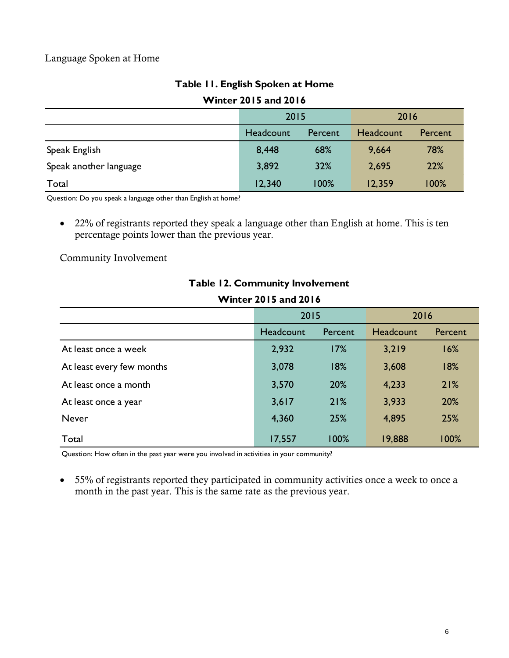## Language Spoken at Home

# **Table 11. English Spoken at Home**

## **Winter 2015 and 2016**

|                             | Table 11. English Spoken at Home |         |           |         |  |  |  |  |  |  |
|-----------------------------|----------------------------------|---------|-----------|---------|--|--|--|--|--|--|
| <b>Winter 2015 and 2016</b> |                                  |         |           |         |  |  |  |  |  |  |
|                             | 2015                             |         | 2016      |         |  |  |  |  |  |  |
|                             | Headcount                        | Percent | Headcount | Percent |  |  |  |  |  |  |
| Speak English               | 8,448                            | 68%     | 9,664     | 78%     |  |  |  |  |  |  |
| Speak another language      | 3,892                            | 32%     | 2,695     | 22%     |  |  |  |  |  |  |
| Total                       | 12,340                           | 100%    | 12,359    | 100%    |  |  |  |  |  |  |

Question: Do you speak a language other than English at home?

• 22% of registrants reported they speak a language other than English at home. This is ten percentage points lower than the previous year.

Community Involvement

| <b>Table 12. Community Involvement</b> |                             |         |                  |         |
|----------------------------------------|-----------------------------|---------|------------------|---------|
|                                        | <b>Winter 2015 and 2016</b> |         |                  |         |
|                                        | 2015                        |         | 2016             |         |
|                                        | Headcount                   | Percent | <b>Headcount</b> | Percent |
| At least once a week                   | 2,932                       | 17%     | 3,219            | 16%     |
| At least every few months              | 3,078                       | 18%     | 3,608            | 18%     |
| At least once a month                  | 3,570                       | 20%     | 4,233            | 21%     |
| At least once a year                   | 3,617                       | 21%     | 3,933            | 20%     |
| <b>Never</b>                           | 4,360                       | 25%     | 4,895            | 25%     |
| Total                                  | 17,557                      | 100%    | 19,888           | 100%    |

#### **Table 12. Community Involvement**  $\frac{1}{2}$

Question: How often in the past year were you involved in activities in your community?

 55% of registrants reported they participated in community activities once a week to once a month in the past year. This is the same rate as the previous year.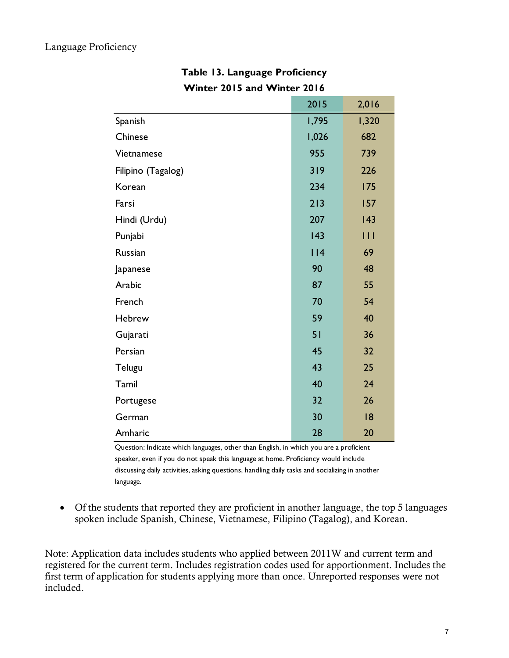| <b>Winter 2015 and Winter 2016</b> |       |       |
|------------------------------------|-------|-------|
|                                    | 2015  | 2,016 |
| Spanish                            | 1,795 | 1,320 |
| Chinese                            | 1,026 | 682   |
| Vietnamese                         | 955   | 739   |
| Filipino (Tagalog)                 | 319   | 226   |
| Korean                             | 234   | 175   |
| Farsi                              | 213   | 157   |
| Hindi (Urdu)                       | 207   | 143   |
| Punjabi                            | 143   | Ш     |
| Russian                            | 114   | 69    |
| Japanese                           | 90    | 48    |
| Arabic                             | 87    | 55    |
| French                             | 70    | 54    |
| Hebrew                             | 59    | 40    |
| Gujarati                           | 51    | 36    |
| Persian                            | 45    | 32    |
| Telugu                             | 43    | 25    |
| Tamil                              | 40    | 24    |
| Portugese                          | 32    | 26    |
| German                             | 30    | 18    |
| Amharic                            | 28    | 20    |

# **Table 13. Language Proficiency Winter 2015 and Winter 2016**

Question: Indicate which languages, other than English, in which you are a proficient speaker, even if you do not speak this language at home. Proficiency would include discussing daily activities, asking questions, handling daily tasks and socializing in another language.

 Of the students that reported they are proficient in another language, the top 5 languages spoken include Spanish, Chinese, Vietnamese, Filipino (Tagalog), and Korean.

Note: Application data includes students who applied between 2011W and current term and registered for the current term. Includes registration codes used for apportionment. Includes the first term of application for students applying more than once. Unreported responses were not included.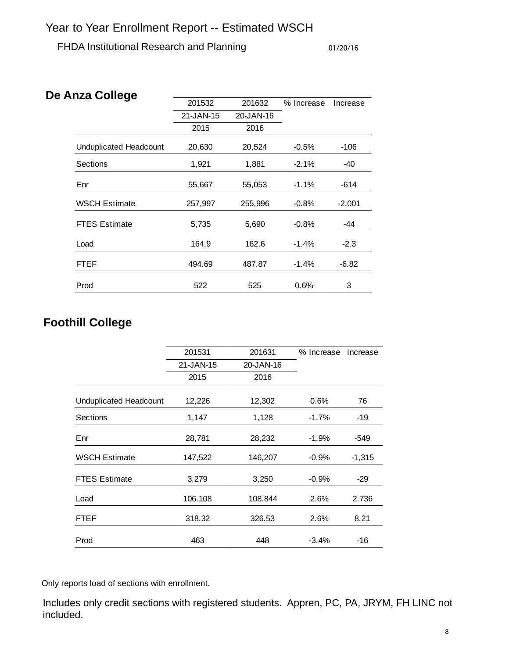FHDA Institutional Research and Planning 01/20/16

| De Anza College               |           |           |            |          |
|-------------------------------|-----------|-----------|------------|----------|
|                               | 201532    | 201632    | % Increase | Increase |
|                               | 21-JAN-15 | 20-JAN-16 |            |          |
|                               | 2015      | 2016      |            |          |
| <b>Unduplicated Headcount</b> | 20,630    | 20,524    | $-0.5%$    | $-106$   |
| <b>Sections</b>               | 1,921     | 1,881     | $-2.1\%$   | -40      |
| Enr                           | 55,667    | 55,053    | $-1.1%$    | $-614$   |
| <b>WSCH Estimate</b>          | 257,997   | 255,996   | $-0.8%$    | $-2,001$ |
| <b>FTES Estimate</b>          | 5,735     | 5,690     | $-0.8%$    | -44      |
| Load                          | 164.9     | 162.6     | $-1.4\%$   | $-2.3$   |
| FTEF                          | 494.69    | 487.87    | $-1.4%$    | $-6.82$  |
| Prod                          | 522       | 525       | 0.6%       | 3        |

# **Foothill College**

|                        | 201531    | 201631    | % Increase | Increase |
|------------------------|-----------|-----------|------------|----------|
|                        | 21-JAN-15 | 20-JAN-16 |            |          |
|                        | 2015      | 2016      |            |          |
| Unduplicated Headcount | 12,226    | 12,302    | 0.6%       | 76       |
| Sections               | 1,147     | 1,128     | $-1.7%$    | $-19$    |
| Enr                    | 28,781    | 28,232    | $-1.9%$    | -549     |
| <b>WSCH Estimate</b>   | 147,522   | 146,207   | $-0.9%$    | $-1,315$ |
| <b>FTES Estimate</b>   | 3,279     | 3,250     | $-0.9%$    | $-29$    |
| Load                   | 106.108   | 108.844   | 2.6%       | 2.736    |
| FTEF                   | 318.32    | 326.53    | 2.6%       | 8.21     |
| Prod                   | 463       | 448       | $-3.4%$    | -16      |

Only reports load of sections with enrollment.

Includes only credit sections with registered students. Appren, PC, PA, JRYM, FH LINC not included.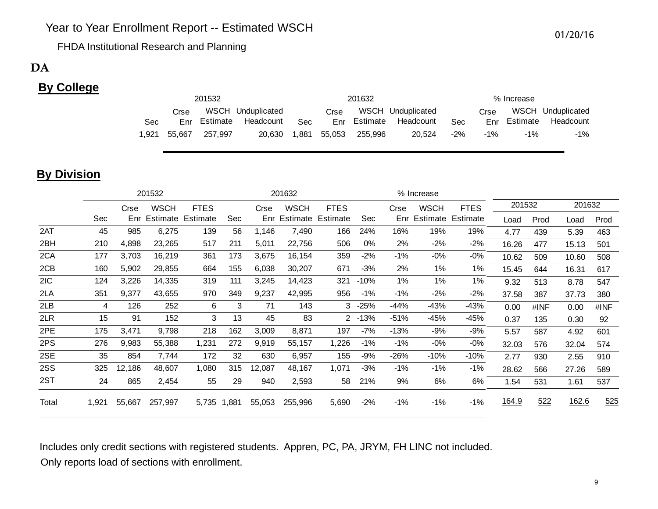FHDA Institutional Research and Planning

# DA

# **By College**

|       |        | 201532  |                        |            |      | 201632               |                   | % Increase |        |              |                   |
|-------|--------|---------|------------------------|------------|------|----------------------|-------------------|------------|--------|--------------|-------------------|
|       | Crse   |         | WSCH Unduplicated      |            | Crse |                      | WSCH Unduplicated |            | Crse   |              | WSCH Unduplicated |
| Sec   |        |         | Enr Estimate Headcount | <b>Sec</b> |      | Enr Estimate         | Headcount         | Sec        |        | Enr Estimate | Headcount         |
| 1.921 | 55.667 | 257.997 | 20.630                 |            |      | 1,881 55,053 255,996 | 20.524            | $-2\%$     | $-1\%$ | $-1\%$       | -1%               |

# **By Division**

|       |       | 201532 |         |                   |             | 201632 |             |             |           |        | % Increase  |                   |        |      |        |      |
|-------|-------|--------|---------|-------------------|-------------|--------|-------------|-------------|-----------|--------|-------------|-------------------|--------|------|--------|------|
|       |       | Crse   | WSCH    | <b>FTES</b>       |             | Crse   | <b>WSCH</b> | <b>FTES</b> |           | Crse   | <b>WSCH</b> | <b>FTES</b>       | 201532 |      | 201632 |      |
|       | Sec   | Enr    |         | Estimate Estimate | Sec         | Enr    | Estimate    | Estimate    | Sec       | Enr    |             | Estimate Estimate | Load   | Prod | Load   | Prod |
| 2AT   | 45    | 985    | 6,275   | 139               | 56          | 1,146  | 7,490       | 166         | 24%       | 16%    | 19%         | 19%               | 4.77   | 439  | 5.39   | 463  |
| 2BH   | 210   | 4,898  | 23,265  | 517               | 211         | 5,011  | 22,756      | 506         | 0%        | 2%     | $-2\%$      | $-2\%$            | 16.26  | 477  | 15.13  | 501  |
| 2CA   | 177   | 3,703  | 16,219  | 361               | 173         | 3,675  | 16,154      | 359         | $-2\%$    | $-1\%$ | $-0%$       | $-0\%$            | 10.62  | 509  | 10.60  | 508  |
| 2CB   | 160   | 5,902  | 29,855  | 664               | 155         | 6,038  | 30,207      | 671         | $-3%$     | 2%     | 1%          | 1%                | 15.45  | 644  | 16.31  | 617  |
| 2IC   | 124   | 3,226  | 14,335  | 319               | 111         | 3,245  | 14,423      | 321         | $-10%$    | 1%     | 1%          | 1%                | 9.32   | 513  | 8.78   | 547  |
| 2LA   | 351   | 9,377  | 43,655  | 970               | 349         | 9,237  | 42,995      | 956         | $-1\%$    | $-1\%$ | $-2%$       | $-2%$             | 37.58  | 387  | 37.73  | 380  |
| 2LB   | 4     | 126    | 252     | 6                 | 3           | 71     | 143         |             | $3 - 25%$ | -44%   | $-43%$      | $-43%$            | 0.00   | #INF | 0.00   | #INF |
| 2LR   | 15    | 91     | 152     | 3                 | 13          | 45     | 83          |             | $2 - 13%$ | $-51%$ | -45%        | -45%              | 0.37   | 135  | 0.30   | 92   |
| 2PE   | 175   | 3,471  | 9,798   | 218               | 162         | 3,009  | 8,871       | 197         | $-7%$     | $-13%$ | $-9%$       | $-9%$             | 5.57   | 587  | 4.92   | 601  |
| 2PS   | 276   | 9,983  | 55,388  | 1,231             | 272         | 9,919  | 55,157      | 1,226       | $-1\%$    | $-1\%$ | $-0\%$      | $-0\%$            | 32.03  | 576  | 32.04  | 574  |
| 2SE   | 35    | 854    | 7,744   | 172               | 32          | 630    | 6,957       | 155         | $-9%$     | $-26%$ | $-10%$      | $-10%$            | 2.77   | 930  | 2.55   | 910  |
| 2SS   | 325   | 12,186 | 48,607  | 1,080             | 315         | 12,087 | 48,167      | 1,071       | $-3%$     | $-1\%$ | $-1%$       | $-1\%$            | 28.62  | 566  | 27.26  | 589  |
| 2ST   | 24    | 865    | 2,454   | 55                | 29          | 940    | 2,593       | 58          | 21%       | 9%     | 6%          | 6%                | 1.54   | 531  | 1.61   | 537  |
| Total | 1,921 | 55,667 | 257,997 |                   | 5,735 1,881 | 55,053 | 255,996     | 5,690       | $-2\%$    | $-1\%$ | $-1\%$      | -1%               | 164.9  | 522  | 162.6  | 525  |

Includes only credit sections with registered students. Appren, PC, PA, JRYM, FH LINC not included. Only reports load of sections with enrollment.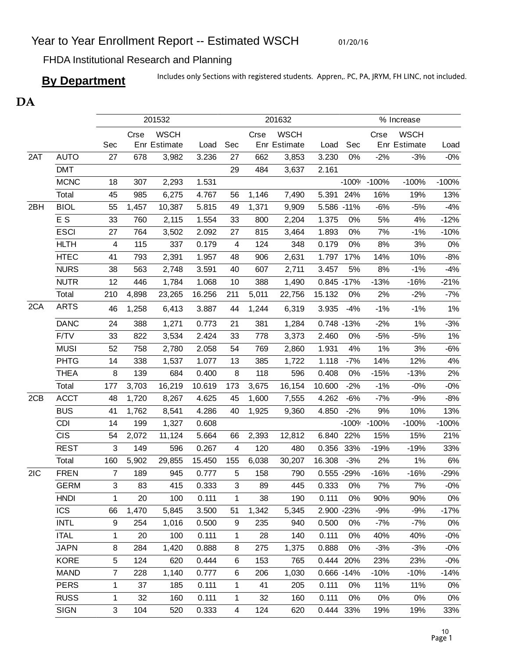01/20/16

FHDA Institutional Research and Planning

**By Department** Includes only Sections with registered students. Appren,. PC, PA, JRYM, FH LINC, not included.

# DA

|     |             | 201632<br>201532        |       |              |        |                | % Increase |              |             |         |             |              |         |
|-----|-------------|-------------------------|-------|--------------|--------|----------------|------------|--------------|-------------|---------|-------------|--------------|---------|
|     |             |                         | Crse  | <b>WSCH</b>  |        |                | Crse       | <b>WSCH</b>  |             |         | Crse        | <b>WSCH</b>  |         |
|     |             | Sec                     |       | Enr Estimate | Load   | Sec            |            | Enr Estimate | Load        | Sec     |             | Enr Estimate | Load    |
| 2AT | <b>AUTO</b> | 27                      | 678   | 3,982        | 3.236  | 27             | 662        | 3,853        | 3.230       | 0%      | $-2%$       | $-3%$        | $-0%$   |
|     | <b>DMT</b>  |                         |       |              |        | 29             | 484        | 3,637        | 2.161       |         |             |              |         |
|     | <b>MCNC</b> | 18                      | 307   | 2,293        | 1.531  |                |            |              |             |         | -100% -100% | $-100%$      | $-100%$ |
|     | Total       | 45                      | 985   | 6,275        | 4.767  | 56             | 1,146      | 7,490        | 5.391       | 24%     | 16%         | 19%          | 13%     |
| 2BH | <b>BIOL</b> | 55                      | 1,457 | 10,387       | 5.815  | 49             | 1,371      | 9,909        | 5.586 -11%  |         | $-6%$       | $-5%$        | $-4%$   |
|     | E S         | 33                      | 760   | 2,115        | 1.554  | 33             | 800        | 2,204        | 1.375       | 0%      | 5%          | 4%           | $-12%$  |
|     | <b>ESCI</b> | 27                      | 764   | 3,502        | 2.092  | 27             | 815        | 3,464        | 1.893       | 0%      | 7%          | $-1%$        | $-10%$  |
|     | <b>HLTH</b> | $\overline{\mathbf{4}}$ | 115   | 337          | 0.179  | 4              | 124        | 348          | 0.179       | 0%      | 8%          | 3%           | $0\%$   |
|     | <b>HTEC</b> | 41                      | 793   | 2,391        | 1.957  | 48             | 906        | 2,631        | 1.797       | 17%     | 14%         | 10%          | $-8%$   |
|     | <b>NURS</b> | 38                      | 563   | 2,748        | 3.591  | 40             | 607        | 2,711        | 3.457       | 5%      | 8%          | $-1%$        | $-4%$   |
|     | <b>NUTR</b> | 12                      | 446   | 1,784        | 1.068  | 10             | 388        | 1,490        | 0.845 -17%  |         | $-13%$      | $-16%$       | $-21%$  |
|     | Total       | 210                     | 4,898 | 23,265       | 16.256 | 211            | 5,011      | 22,756       | 15.132      | 0%      | 2%          | $-2%$        | $-7%$   |
| 2CA | <b>ARTS</b> | 46                      | 1,258 | 6,413        | 3.887  | 44             | 1,244      | 6,319        | 3.935       | $-4%$   | $-1%$       | $-1%$        | $1\%$   |
|     | <b>DANC</b> | 24                      | 388   | 1,271        | 0.773  | 21             | 381        | 1,284        | 0.748 -13%  |         | $-2%$       | 1%           | $-3%$   |
|     | F/TV        | 33                      | 822   | 3,534        | 2.424  | 33             | 778        | 3,373        | 2.460       | 0%      | $-5%$       | $-5%$        | $1\%$   |
|     | <b>MUSI</b> | 52                      | 758   | 2,780        | 2.058  | 54             | 769        | 2,860        | 1.931       | 4%      | 1%          | 3%           | $-6%$   |
|     | <b>PHTG</b> | 14                      | 338   | 1,537        | 1.077  | 13             | 385        | 1,722        | 1.118       | $-7%$   | 14%         | 12%          | 4%      |
|     | <b>THEA</b> | 8                       | 139   | 684          | 0.400  | 8              | 118        | 596          | 0.408       | 0%      | $-15%$      | $-13%$       | 2%      |
|     | Total       | 177                     | 3,703 | 16,219       | 10.619 | 173            | 3,675      | 16,154       | 10.600      | $-2%$   | $-1%$       | $-0%$        | $-0%$   |
| 2CB | <b>ACCT</b> | 48                      | 1,720 | 8,267        | 4.625  | 45             | 1,600      | 7,555        | 4.262       | $-6%$   | $-7%$       | $-9%$        | $-8%$   |
|     | <b>BUS</b>  | 41                      | 1,762 | 8,541        | 4.286  | 40             | 1,925      | 9,360        | 4.850       | $-2%$   | 9%          | 10%          | 13%     |
|     | <b>CDI</b>  | 14                      | 199   | 1,327        | 0.608  |                |            |              |             | $-100%$ | $-100%$     | $-100%$      | $-100%$ |
|     | <b>CIS</b>  | 54                      | 2,072 | 11,124       | 5.664  | 66             | 2,393      | 12,812       | 6.840       | 22%     | 15%         | 15%          | 21%     |
|     | <b>REST</b> | 3                       | 149   | 596          | 0.267  | 4              | 120        | 480          | 0.356       | 33%     | $-19%$      | $-19%$       | 33%     |
|     | Total       | 160                     | 5,902 | 29,855       | 15.450 | 155            | 6,038      | 30,207       | 16.308      | $-3%$   | 2%          | 1%           | $6\%$   |
| 2IC | <b>FREN</b> | $\overline{7}$          | 189   | 945          | 0.777  | 5              | 158        | 790          | 0.555 -29%  |         | $-16%$      | $-16%$       | $-29%$  |
|     | <b>GERM</b> | 3                       | 83    | 415          | 0.333  | 3              | 89         | 445          | 0.333       | $0\%$   | 7%          | 7%           | $-0\%$  |
|     | <b>HNDI</b> | $\mathbf{1}$            | 20    | 100          | 0.111  | $\mathbf{1}$   | 38         | 190          | 0.111       | 0%      | 90%         | 90%          | 0%      |
|     | <b>ICS</b>  | 66                      | 1,470 | 5,845        | 3.500  | 51             | 1,342      | 5,345        | 2.900 - 23% |         | $-9%$       | $-9%$        | $-17%$  |
|     | <b>INTL</b> | 9                       | 254   | 1,016        | 0.500  | 9              | 235        | 940          | 0.500       | 0%      | $-7%$       | $-7%$        | 0%      |
|     | <b>ITAL</b> | 1                       | 20    | 100          | 0.111  | 1              | 28         | 140          | 0.111       | 0%      | 40%         | 40%          | $-0\%$  |
|     | <b>JAPN</b> | 8                       | 284   | 1,420        | 0.888  | 8              | 275        | 1,375        | 0.888       | 0%      | $-3%$       | $-3%$        | $-0\%$  |
|     | <b>KORE</b> | 5                       | 124   | 620          | 0.444  | 6              | 153        | 765          | 0.444       | 20%     | 23%         | 23%          | $-0\%$  |
|     | <b>MAND</b> | 7                       | 228   | 1,140        | 0.777  | 6              | 206        | 1,030        | 0.666 -14%  |         | $-10%$      | $-10%$       | $-14%$  |
|     | <b>PERS</b> | 1                       | 37    | 185          | 0.111  | 1              | 41         | 205          | 0.111       | 0%      | 11%         | 11%          | 0%      |
|     | <b>RUSS</b> | 1                       | 32    | 160          | 0.111  | $\mathbf{1}$   | 32         | 160          | 0.111       | 0%      | 0%          | 0%           | 0%      |
|     | <b>SIGN</b> | 3                       | 104   | 520          | 0.333  | $\overline{4}$ | 124        | 620          | 0.444 33%   |         | 19%         | 19%          | 33%     |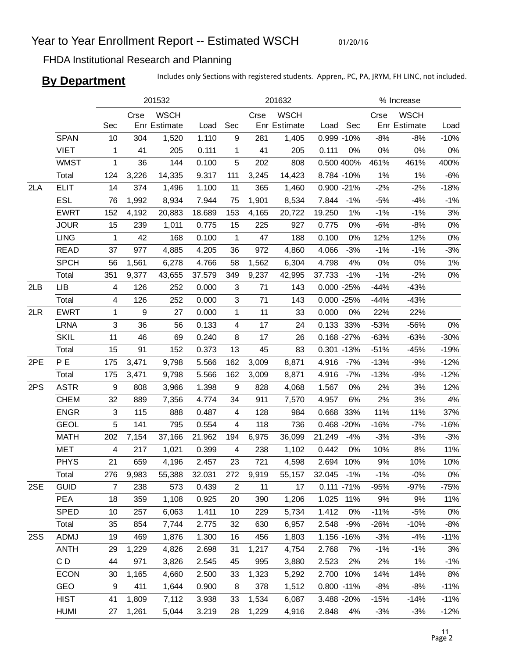01/20/16

# FHDA Institutional Research and Planning

**By Department** Includes only Sections with registered students. Appren,. PC, PA, JRYM, FH LINC, not included.

|     |             |              |                  | 201532                      |        |                         |       | 201632                      |                |       |        | % Increase                  |        |
|-----|-------------|--------------|------------------|-----------------------------|--------|-------------------------|-------|-----------------------------|----------------|-------|--------|-----------------------------|--------|
|     |             | Sec          | Crse             | <b>WSCH</b><br>Enr Estimate | Load   | Sec                     | Crse  | <b>WSCH</b><br>Enr Estimate | Load           | Sec   | Crse   | <b>WSCH</b><br>Enr Estimate | Load   |
|     | <b>SPAN</b> | 10           | 304              | 1,520                       | 1.110  | 9                       | 281   | 1,405                       | 0.999 -10%     |       | $-8%$  | $-8%$                       | $-10%$ |
|     | <b>VIET</b> | 1            | 41               | 205                         | 0.111  | 1                       | 41    | 205                         | 0.111          | 0%    | 0%     | $0\%$                       | 0%     |
|     | <b>WMST</b> | $\mathbf{1}$ | 36               | 144                         | 0.100  | 5                       | 202   | 808                         | 0.500 400%     |       | 461%   | 461%                        | 400%   |
|     | Total       | 124          | 3,226            | 14,335                      | 9.317  | 111                     | 3,245 | 14,423                      | 8.784 -10%     |       | 1%     | 1%                          | $-6%$  |
| 2LA | <b>ELIT</b> | 14           | 374              | 1,496                       | 1.100  | 11                      | 365   | 1,460                       | 0.900 -21%     |       | $-2%$  | $-2%$                       | $-18%$ |
|     | ESL         | 76           | 1,992            | 8,934                       | 7.944  | 75                      | 1,901 | 8,534                       | 7.844          | $-1%$ | $-5%$  | $-4%$                       | $-1%$  |
|     | <b>EWRT</b> | 152          | 4,192            | 20,883                      | 18.689 | 153                     | 4,165 | 20,722                      | 19.250         | 1%    | $-1%$  | $-1%$                       | 3%     |
|     | <b>JOUR</b> | 15           | 239              | 1,011                       | 0.775  | 15                      | 225   | 927                         | 0.775          | 0%    | $-6%$  | $-8%$                       | $0\%$  |
|     | <b>LING</b> | 1            | 42               | 168                         | 0.100  | 1                       | 47    | 188                         | 0.100          | 0%    | 12%    | 12%                         | 0%     |
|     | <b>READ</b> | 37           | 977              | 4,885                       | 4.205  | 36                      | 972   | 4,860                       | 4.066          | $-3%$ | $-1%$  | $-1%$                       | $-3%$  |
|     | <b>SPCH</b> | 56           | 1,561            | 6,278                       | 4.766  | 58                      | 1,562 | 6,304                       | 4.798          | 4%    | 0%     | 0%                          | $1\%$  |
|     | Total       | 351          | 9,377            | 43,655                      | 37.579 | 349                     | 9,237 | 42,995                      | 37.733         | $-1%$ | $-1%$  | $-2%$                       | 0%     |
| 2LB | <b>LIB</b>  | 4            | 126              | 252                         | 0.000  | 3                       | 71    | 143                         | $0.000 - 25%$  |       | $-44%$ | $-43%$                      |        |
|     | Total       | 4            | 126              | 252                         | 0.000  | 3                       | 71    | 143                         | $0.000 - 25%$  |       | $-44%$ | $-43%$                      |        |
| 2LR | <b>EWRT</b> | $\mathbf{1}$ | $\boldsymbol{9}$ | 27                          | 0.000  | 1                       | 11    | 33                          | 0.000          | 0%    | 22%    | 22%                         |        |
|     | <b>LRNA</b> | 3            | 36               | 56                          | 0.133  | $\overline{\mathbf{4}}$ | 17    | 24                          | 0.133 33%      |       | $-53%$ | -56%                        | 0%     |
|     | <b>SKIL</b> | 11           | 46               | 69                          | 0.240  | 8                       | 17    | 26                          | 0.168 -27%     |       | $-63%$ | $-63%$                      | $-30%$ |
|     | Total       | 15           | 91               | 152                         | 0.373  | 13                      | 45    | 83                          | 0.301 -13%     |       | $-51%$ | $-45%$                      | $-19%$ |
| 2PE | P E         | 175          | 3,471            | 9,798                       | 5.566  | 162                     | 3,009 | 8,871                       | 4.916          | $-7%$ | $-13%$ | $-9%$                       | $-12%$ |
|     | Total       | 175          | 3,471            | 9,798                       | 5.566  | 162                     | 3,009 | 8,871                       | 4.916          | $-7%$ | $-13%$ | $-9%$                       | $-12%$ |
| 2PS | <b>ASTR</b> | 9            | 808              | 3,966                       | 1.398  | 9                       | 828   | 4,068                       | 1.567          | 0%    | 2%     | 3%                          | 12%    |
|     | <b>CHEM</b> | 32           | 889              | 7,356                       | 4.774  | 34                      | 911   | 7,570                       | 4.957          | 6%    | 2%     | 3%                          | 4%     |
|     | <b>ENGR</b> | 3            | 115              | 888                         | 0.487  | 4                       | 128   | 984                         | 0.668          | 33%   | 11%    | 11%                         | 37%    |
|     | <b>GEOL</b> | 5            | 141              | 795                         | 0.554  | $\overline{\mathbf{4}}$ | 118   | 736                         | 0.468 -20%     |       | $-16%$ | $-7%$                       | $-16%$ |
|     | <b>MATH</b> | 202          | 7,154            | 37,166                      | 21.962 | 194                     | 6,975 | 36,099                      | 21.249         | $-4%$ | $-3%$  | $-3%$                       | $-3%$  |
|     | <b>MET</b>  | 4            | 217              | 1,021                       | 0.399  | 4                       | 238   | 1,102                       | 0.442          | 0%    | 10%    | 8%                          | 11%    |
|     | <b>PHYS</b> | 21           | 659              | 4,196                       | 2.457  | 23                      | 721   | 4,598                       | 2.694          | 10%   | 9%     | 10%                         | 10%    |
|     | Total       | 276          | 9,983            | 55,388                      | 32.031 | 272                     | 9,919 | 55,157                      | 32.045 -1%     |       | $-1%$  | $-0%$                       | 0%     |
| 2SE | <b>GUID</b> | 7            | 238              | 573                         | 0.439  | $\overline{2}$          | 11    | 17                          | $0.111 - 71%$  |       | $-95%$ | $-97%$                      | $-75%$ |
|     | <b>PEA</b>  | 18           | 359              | 1,108                       | 0.925  | 20                      | 390   | 1,206                       | 1.025          | 11%   | 9%     | 9%                          | 11%    |
|     | <b>SPED</b> | 10           | 257              | 6,063                       | 1.411  | 10                      | 229   | 5,734                       | 1.412          | 0%    | $-11%$ | $-5%$                       | 0%     |
|     | Total       | 35           | 854              | 7,744                       | 2.775  | 32                      | 630   | 6,957                       | 2.548          | $-9%$ | $-26%$ | $-10%$                      | $-8%$  |
| 2SS | <b>ADMJ</b> | 19           | 469              | 1,876                       | 1.300  | 16                      | 456   | 1,803                       | 1.156 -16%     |       | $-3%$  | $-4%$                       | $-11%$ |
|     | <b>ANTH</b> | 29           | 1,229            | 4,826                       | 2.698  | 31                      | 1,217 | 4,754                       | 2.768          | 7%    | $-1%$  | $-1%$                       | 3%     |
|     | CD          | 44           | 971              | 3,826                       | 2.545  | 45                      | 995   | 3,880                       | 2.523          | 2%    | 2%     | 1%                          | $-1%$  |
|     | <b>ECON</b> | 30           | 1,165            | 4,660                       | 2.500  | 33                      | 1,323 | 5,292                       | 2.700          | 10%   | 14%    | 14%                         | 8%     |
|     | GEO         | 9            | 411              | 1,644                       | 0.900  | 8                       | 378   | 1,512                       | $0.800 - 11\%$ |       | $-8%$  | $-8%$                       | $-11%$ |
|     | <b>HIST</b> | 41           | 1,809            | 7,112                       | 3.938  | 33                      | 1,534 | 6,087                       | 3.488 -20%     |       | $-15%$ | $-14%$                      | $-11%$ |
|     | <b>HUMI</b> | 27           | 1,261            | 5,044                       | 3.219  | 28                      | 1,229 | 4,916                       | 2.848          | 4%    | $-3%$  | $-3%$                       | $-12%$ |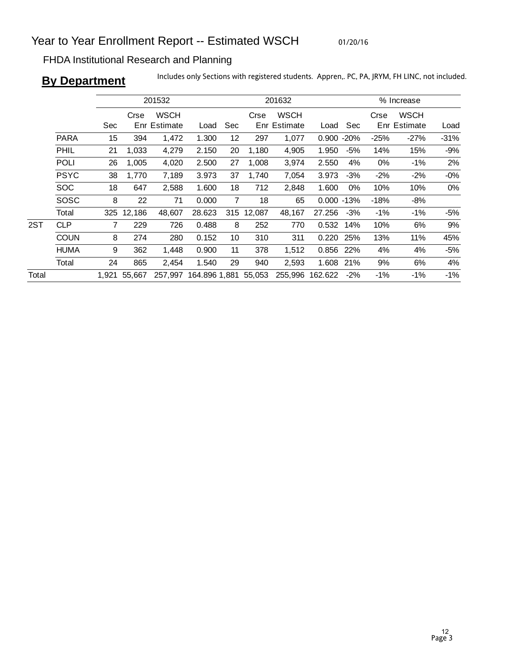01/20/16

# FHDA Institutional Research and Planning

**By Department** Includes only Sections with registered students. Appren,. PC, PA, JRYM, FH LINC, not included.

|       |             |                |            | 201532                      |                      |                |            | 201632                      |               | % Increase |        |                             |        |
|-------|-------------|----------------|------------|-----------------------------|----------------------|----------------|------------|-----------------------------|---------------|------------|--------|-----------------------------|--------|
|       |             |                | Crse       | <b>WSCH</b><br>Enr Estimate |                      |                | Crse       | <b>WSCH</b><br>Enr Estimate |               |            | Crse   | <b>WSCH</b><br>Enr Estimate |        |
|       |             | Sec            |            |                             | Load                 | Sec            |            |                             | Load          | Sec        |        |                             | Load   |
|       | <b>PARA</b> | 15             | 394        | 1,472                       | 1.300                | 12             | 297        | 1,077                       | 0.900         | $-20%$     | $-25%$ | $-27%$                      | $-31%$ |
|       | PHIL        | 21             | 1,033      | 4,279                       | 2.150                | 20             | 1,180      | 4,905                       | 1.950         | -5%        | 14%    | 15%                         | $-9%$  |
|       | <b>POLI</b> | 26             | 1,005      | 4,020                       | 2.500                | 27             | 1,008      | 3,974                       | 2.550         | 4%         | 0%     | $-1\%$                      | 2%     |
|       | <b>PSYC</b> | 38             | 1,770      | 7,189                       | 3.973                | 37             | 1,740      | 7,054                       | 3.973         | $-3%$      | $-2\%$ | $-2%$                       | $-0%$  |
|       | <b>SOC</b>  | 18             | 647        | 2,588                       | 1.600                | 18             | 712        | 2,848                       | 1.600         | $0\%$      | 10%    | 10%                         | $0\%$  |
|       | SOSC        | 8              | 22         | 71                          | 0.000                | $\overline{7}$ | 18         | 65                          | $0.000 - 13%$ |            | $-18%$ | $-8%$                       |        |
|       | Total       |                | 325 12,186 | 48,607                      | 28.623               |                | 315 12,087 | 48,167                      | 27.256        | $-3%$      | -1%    | -1%                         | $-5%$  |
| 2ST   | <b>CLP</b>  | $\overline{7}$ | 229        | 726                         | 0.488                | 8              | 252        | 770                         | 0.532         | 14%        | 10%    | 6%                          | 9%     |
|       | <b>COUN</b> | 8              | 274        | 280                         | 0.152                | 10             | 310        | 311                         | 0.220         | 25%        | 13%    | 11%                         | 45%    |
|       | <b>HUMA</b> | 9              | 362        | 1,448                       | 0.900                | 11             | 378        | 1,512                       | 0.856         | 22%        | 4%     | 4%                          | $-5%$  |
|       | Total       | 24             | 865        | 2,454                       | 1.540                | 29             | 940        | 2,593                       | 1.608         | 21%        | 9%     | 6%                          | 4%     |
| Total |             | 1.921          | 55.667     | 257.997                     | 164.896 1,881 55,053 |                |            | 255,996                     | 162.622       | $-2\%$     | $-1\%$ | -1%                         | $-1%$  |
|       |             |                |            |                             |                      |                |            |                             |               |            |        |                             |        |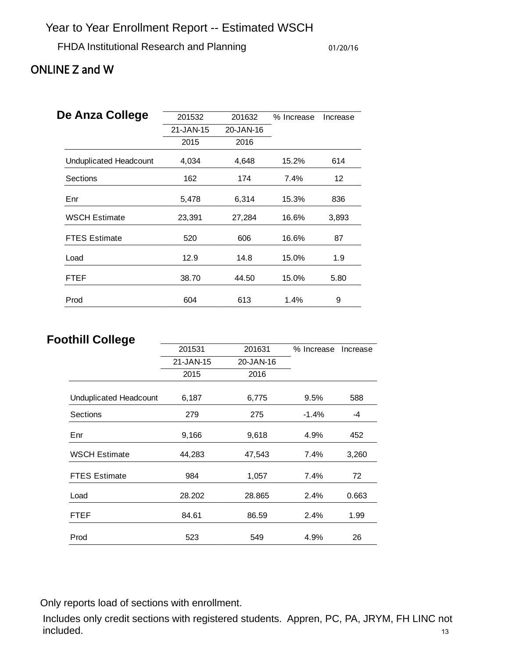# FHDA Institutional Research and Planning 01/20/16

# ONLINE Z and W

| De Anza College               | 201532    | 201632    | % Increase | Increase |
|-------------------------------|-----------|-----------|------------|----------|
|                               | 21-JAN-15 | 20-JAN-16 |            |          |
|                               | 2015      | 2016      |            |          |
| <b>Unduplicated Headcount</b> | 4,034     | 4,648     | 15.2%      | 614      |
| Sections                      | 162       | 174       | 7.4%       | 12       |
| Enr                           | 5,478     | 6,314     | 15.3%      | 836      |
| <b>WSCH Estimate</b>          | 23,391    | 27,284    | 16.6%      | 3,893    |
| <b>FTES Estimate</b>          | 520       | 606       | 16.6%      | 87       |
| Load                          | 12.9      | 14.8      | 15.0%      | 1.9      |
| FTEF                          | 38.70     | 44.50     | 15.0%      | 5.80     |
| Prod                          | 604       | 613       | 1.4%       | 9        |

# **Foothill College**

| ••…•ჟ•                 | 201531    | 201631    | % Increase | Increase |
|------------------------|-----------|-----------|------------|----------|
|                        | 21-JAN-15 | 20-JAN-16 |            |          |
|                        | 2015      | 2016      |            |          |
| Unduplicated Headcount | 6,187     | 6,775     | 9.5%       | 588      |
| Sections               | 279       | 275       | $-1.4%$    | -4       |
| Enr                    | 9,166     | 9,618     | 4.9%       | 452      |
| <b>WSCH Estimate</b>   | 44,283    | 47,543    | 7.4%       | 3,260    |
| <b>FTES Estimate</b>   | 984       | 1,057     | 7.4%       | 72       |
| Load                   | 28.202    | 28.865    | 2.4%       | 0.663    |
| <b>FTEF</b>            | 84.61     | 86.59     | 2.4%       | 1.99     |
| Prod                   | 523       | 549       | 4.9%       | 26       |

Only reports load of sections with enrollment.

Includes only credit sections with registered students. Appren, PC, PA, JRYM, FH LINC not included. 13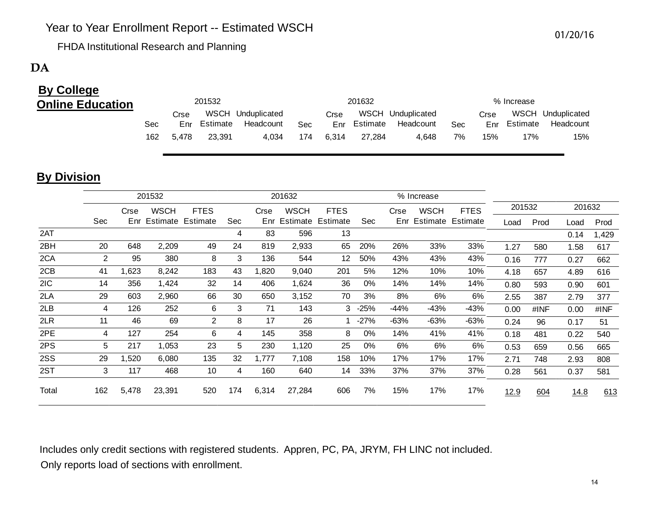FHDA Institutional Research and Planning

# $\mathbf{DA}$  and  $\mathbf{DA}$  and  $\mathbf{NA}$  and  $\mathbf{NA}$  and  $\mathbf{NA}$  and  $\mathbf{NA}$  and  $\mathbf{NA}$  and  $\mathbf{NA}$  and  $\mathbf{NA}$  and  $\mathbf{NA}$  and  $\mathbf{NA}$  and  $\mathbf{NA}$  and  $\mathbf{NA}$  and  $\mathbf{NA}$  and  $\mathbf{NA}$  and  $\mathbf{NA}$  and  $\mathbf{NA}$  and

# **By College Online Education**

| 201532 |       |          |                   |     |       | 201632       |                   |     | % Increase |              |                   |  |  |
|--------|-------|----------|-------------------|-----|-------|--------------|-------------------|-----|------------|--------------|-------------------|--|--|
|        | Crse  |          | WSCH Unduplicated |     | Crse  |              | WSCH Unduplicated |     | Crse       |              | WSCH Unduplicated |  |  |
| Sec    | Enr   | Estimate | Headcount         | Sec |       | Enr Estimate | Headcount         | Sec |            | Enr Estimate | Headcount         |  |  |
| 162    | 5.478 | 23.391   | 4.034             | 174 | 6.314 | 27.284       | 4.648             | 7%  | 15%        | 17%          | 15%               |  |  |

# **By Division**

|       |                |       | 201532       |                | 201632 |       |              |             |            |        | % Increase            |             |        |      |        |       |
|-------|----------------|-------|--------------|----------------|--------|-------|--------------|-------------|------------|--------|-----------------------|-------------|--------|------|--------|-------|
|       | Crse           |       | <b>WSCH</b>  | <b>FTES</b>    |        | Crse  | <b>WSCH</b>  | <b>FTES</b> |            | Crse   | <b>WSCH</b>           | <b>FTES</b> | 201532 |      | 201632 |       |
|       | Sec            |       | Enr Estimate | Estimate       | Sec    |       | Enr Estimate | Estimate    | <b>Sec</b> |        | Enr Estimate Estimate |             | Load   | Prod | Load   | Prod  |
| 2AT   |                |       |              |                | 4      | 83    | 596          | 13          |            |        |                       |             |        |      | 0.14   | 1,429 |
| 2BH   | 20             | 648   | 2,209        | 49             | 24     | 819   | 2,933        | 65          | 20%        | 26%    | 33%                   | 33%         | 1.27   | 580  | 1.58   | 617   |
| 2CA   | $\overline{2}$ | 95    | 380          | 8              | 3      | 136   | 544          | 12          | 50%        | 43%    | 43%                   | 43%         | 0.16   | 777  | 0.27   | 662   |
| 2CB   | 41             | 1,623 | 8,242        | 183            | 43     | ,820  | 9,040        | 201         | 5%         | 12%    | 10%                   | 10%         | 4.18   | 657  | 4.89   | 616   |
| 2IC   | 14             | 356   | 1,424        | 32             | 14     | 406   | 1,624        | 36          | 0%         | 14%    | 14%                   | 14%         | 0.80   | 593  | 0.90   | 601   |
| 2LA   | 29             | 603   | 2,960        | 66             | 30     | 650   | 3,152        | 70          | 3%         | 8%     | 6%                    | 6%          | 2.55   | 387  | 2.79   | 377   |
| 2LB   | 4              | 126   | 252          | 6              | 3      | 71    | 143          | 3           | -25%       | -44%   | -43%                  | -43%        | 0.00   | #INF | 0.00   | #INF  |
| 2LR   | 11             | 46    | 69           | $\overline{2}$ | 8      | 17    | 26           |             | $-27%$     | $-63%$ | -63%                  | -63%        | 0.24   | 96   | 0.17   | 51    |
| 2PE   | 4              | 127   | 254          | 6              | 4      | 145   | 358          | 8           | 0%         | 14%    | 41%                   | 41%         | 0.18   | 481  | 0.22   | 540   |
| 2PS   | 5              | 217   | 1,053        | 23             | 5      | 230   | 1,120        | 25          | 0%         | 6%     | 6%                    | 6%          | 0.53   | 659  | 0.56   | 665   |
| 2SS   | 29             | 1,520 | 6,080        | 135            | 32     | 1,777 | 7,108        | 158         | 10%        | 17%    | 17%                   | 17%         | 2.71   | 748  | 2.93   | 808   |
| 2ST   | 3              | 117   | 468          | 10             | 4      | 160   | 640          | 14          | 33%        | 37%    | 37%                   | 37%         | 0.28   | 561  | 0.37   | 581   |
| Total | 162            | 5,478 | 23,391       | 520            | 174    | 6,314 | 27,284       | 606         | 7%         | 15%    | 17%                   | 17%         | 12.9   | 604  | 14.8   | 613   |

Includes only credit sections with registered students. Appren, PC, PA, JRYM, FH LINC not included. Only reports load of sections with enrollment.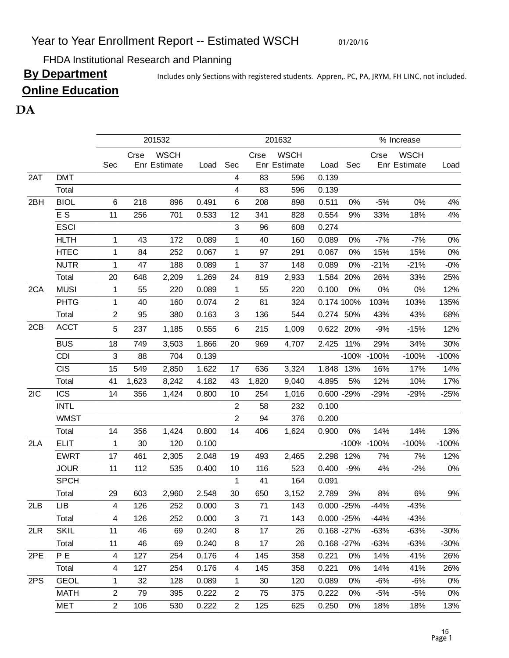01/20/16

FHDA Institutional Research and Planning

By Department Includes only Sections with registered students. Appren,. PC, PA, JRYM, FH LINC, not included.

# **Online Education**

# $DA$  and  $M$

|     |             |                         |       | 201532                      |       | 201632         |       |                             |               |         | % Increase  |                             |         |  |
|-----|-------------|-------------------------|-------|-----------------------------|-------|----------------|-------|-----------------------------|---------------|---------|-------------|-----------------------------|---------|--|
|     |             | Sec                     | Crse  | <b>WSCH</b><br>Enr Estimate | Load  | Sec            | Crse  | <b>WSCH</b><br>Enr Estimate | Load          | Sec     | Crse        | <b>WSCH</b><br>Enr Estimate | Load    |  |
| 2AT | <b>DMT</b>  |                         |       |                             |       | 4              | 83    | 596                         | 0.139         |         |             |                             |         |  |
|     | Total       |                         |       |                             |       | 4              | 83    | 596                         | 0.139         |         |             |                             |         |  |
| 2BH | <b>BIOL</b> | 6                       | 218   | 896                         | 0.491 | 6              | 208   | 898                         | 0.511         | 0%      | $-5%$       | 0%                          | 4%      |  |
|     | E S         | 11                      | 256   | 701                         | 0.533 | 12             | 341   | 828                         | 0.554         | 9%      | 33%         | 18%                         | 4%      |  |
|     | <b>ESCI</b> |                         |       |                             |       | 3              | 96    | 608                         | 0.274         |         |             |                             |         |  |
|     | <b>HLTH</b> | 1                       | 43    | 172                         | 0.089 | 1              | 40    | 160                         | 0.089         | 0%      | $-7%$       | $-7%$                       | $0\%$   |  |
|     | <b>HTEC</b> | $\mathbf 1$             | 84    | 252                         | 0.067 | 1              | 97    | 291                         | 0.067         | 0%      | 15%         | 15%                         | 0%      |  |
|     | <b>NUTR</b> | $\mathbf 1$             | 47    | 188                         | 0.089 | 1              | 37    | 148                         | 0.089         | 0%      | $-21%$      | $-21%$                      | $-0%$   |  |
|     | Total       | 20                      | 648   | 2,209                       | 1.269 | 24             | 819   | 2,933                       | 1.584         | 20%     | 26%         | 33%                         | 25%     |  |
| 2CA | <b>MUSI</b> | 1                       | 55    | 220                         | 0.089 | 1              | 55    | 220                         | 0.100         | 0%      | 0%          | 0%                          | 12%     |  |
|     | <b>PHTG</b> | $\mathbf 1$             | 40    | 160                         | 0.074 | $\overline{2}$ | 81    | 324                         | 0.174 100%    |         | 103%        | 103%                        | 135%    |  |
|     | Total       | $\overline{2}$          | 95    | 380                         | 0.163 | 3              | 136   | 544                         | 0.274         | 50%     | 43%         | 43%                         | 68%     |  |
| 2CB | <b>ACCT</b> | 5                       | 237   | 1,185                       | 0.555 | 6              | 215   | 1,009                       | 0.622 20%     |         | $-9%$       | $-15%$                      | 12%     |  |
|     | <b>BUS</b>  | 18                      | 749   | 3,503                       | 1.866 | 20             | 969   | 4,707                       | 2.425         | 11%     | 29%         | 34%                         | 30%     |  |
|     | <b>CDI</b>  | 3                       | 88    | 704                         | 0.139 |                |       |                             |               |         | -100% -100% | $-100%$                     | $-100%$ |  |
|     | <b>CIS</b>  | 15                      | 549   | 2,850                       | 1.622 | 17             | 636   | 3,324                       | 1.848         | 13%     | 16%         | 17%                         | 14%     |  |
|     | Total       | 41                      | 1,623 | 8,242                       | 4.182 | 43             | 1,820 | 9,040                       | 4.895         | 5%      | 12%         | 10%                         | 17%     |  |
| 2IC | <b>ICS</b>  | 14                      | 356   | 1,424                       | 0.800 | 10             | 254   | 1,016                       | 0.600 -29%    |         | $-29%$      | $-29%$                      | $-25%$  |  |
|     | <b>INTL</b> |                         |       |                             |       | $\overline{2}$ | 58    | 232                         | 0.100         |         |             |                             |         |  |
|     | <b>WMST</b> |                         |       |                             |       | $\overline{2}$ | 94    | 376                         | 0.200         |         |             |                             |         |  |
|     | Total       | 14                      | 356   | 1,424                       | 0.800 | 14             | 406   | 1,624                       | 0.900         | 0%      | 14%         | 14%                         | 13%     |  |
| 2LA | <b>ELIT</b> | $\mathbf 1$             | 30    | 120                         | 0.100 |                |       |                             |               | $-100%$ | $-100%$     | $-100%$                     | $-100%$ |  |
|     | <b>EWRT</b> | 17                      | 461   | 2,305                       | 2.048 | 19             | 493   | 2,465                       | 2.298 12%     |         | 7%          | 7%                          | 12%     |  |
|     | <b>JOUR</b> | 11                      | 112   | 535                         | 0.400 | 10             | 116   | 523                         | 0.400         | $-9%$   | 4%          | $-2%$                       | 0%      |  |
|     | <b>SPCH</b> |                         |       |                             |       | 1              | 41    | 164                         | 0.091         |         |             |                             |         |  |
|     | Total       | 29                      | 603   | 2,960                       | 2.548 | 30             | 650   | 3,152                       | 2.789         | 3%      | 8%          | 6%                          | 9%      |  |
| 2LB | LIB         | 4                       | 126   | 252                         | 0.000 | $\sqrt{3}$     | 71    | 143                         | $0.000 - 25%$ |         | $-44%$      | $-43%$                      |         |  |
|     | Total       | 4                       | 126   | 252                         | 0.000 | 3              | 71    | 143                         | $0.000 - 25%$ |         | -44%        | -43%                        |         |  |
| 2LR | <b>SKIL</b> | 11                      | 46    | 69                          | 0.240 | 8              | 17    | 26                          | $0.168 - 27%$ |         | $-63%$      | $-63%$                      | $-30%$  |  |
|     | Total       | 11                      | 46    | 69                          | 0.240 | 8              | 17    | 26                          | $0.168 - 27%$ |         | $-63%$      | $-63%$                      | $-30%$  |  |
| 2PE | P E         | $\overline{\mathbf{4}}$ | 127   | 254                         | 0.176 | 4              | 145   | 358                         | 0.221         | 0%      | 14%         | 41%                         | 26%     |  |
|     | Total       | 4                       | 127   | 254                         | 0.176 | 4              | 145   | 358                         | 0.221         | 0%      | 14%         | 41%                         | 26%     |  |
| 2PS | <b>GEOL</b> | 1                       | 32    | 128                         | 0.089 | 1              | 30    | 120                         | 0.089         | 0%      | -6%         | -6%                         | 0%      |  |
|     | <b>MATH</b> | $\overline{2}$          | 79    | 395                         | 0.222 | $\overline{2}$ | 75    | 375                         | 0.222         | 0%      | -5%         | $-5%$                       | 0%      |  |
|     | MET         | $\overline{2}$          | 106   | 530                         | 0.222 | $\overline{2}$ | 125   | 625                         | 0.250         | 0%      | 18%         | 18%                         | 13%     |  |